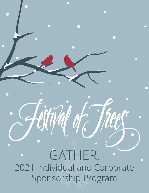2021 Individual and Corporate Sponsorship Program GATHER.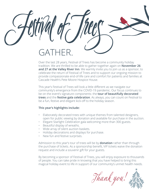# GATH

Over the last 28 years, Festival of Trees has become a community holiday tradition. We are thrilled to be able to gather together again on **November 26 and 27 at the Valley River Inn**. We warmly invite you to join us as a sponsor, to celebrate the return of Festival of Trees and to support our ongoing mission to provide compassionate end-of-life care and comfort for patients and families at Cascade Health's Pete Moore Hospice House.

This year's Festival of Trees will look a little different as we navigate our community's emergence from the COVID-19 pandemic. Our focus continues to be on the event's signature components: the **tour of beautifully decorated trees** and the **festive gala celebration**. As always, you can count on Festival to be a fun, festive and elegant kick-off to the holiday season.

#### **This year's highlights include:**

- Elaborately decorated trees with unique themes from talented designers, open for public viewing by donation and available for purchase in the auction.
- Elegant Starlight Celebration gala welcoming more than 300 guests.
- Beautiful display of wreaths.
- Wide array of silent auction baskets.
- Holiday decorations and displays for purchase.
- New fun and festive surprises.

Admission to this year's tour of trees will be by **donation** rather than through the purchase of tickets. As a sponsorship benefit, VIP tickets waive the donation request and include a souvenir gift for your guests.

By becoming a sponsor of Festival of Trees, you will enjoy exposure to thousands of people. You can take pride in knowing that you have helped to bring this magical holiday event to life in support of our community's unmet health needs.

Thank you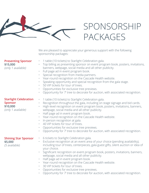

We are pleased to appreciate your generous support with the following sponsorship packages:

**Presenting Sponsor**

**Starlight Celebration** 

(only 1 available)

**Sponsor \$10,000**

- 1 table (10 tickets) to Starlight Celebration gala.
- Top billing as presenting sponsor on event program book, posters, invitations, banners, webpage, social media and all other publicity.
- Full page ad in event program book.
- Special recognition from media partners.
- Year-round recognition on the Cascade Health website.
- Speaking opportunity and special recognition from the gala stage.
- 50 VIP tickets for tour of trees.
- Opportunities for exclusive tree previews.
- Opportunity for 7' tree to decorate for auction, with associated recognition.
- 1 table (10 tickets) to Starlight Celebration gala.
- Recognition throughout the gala, including on stage signage and bid cards.
	- High-level recognition on event program book, posters, invitations, banners, webpage, social media and all other publicity.
	- Half page ad in event program book.
	- Year-round recognition on the Cascade Health website.
	- In-person recognition at gala.
	- 40 VIP tickets for tour of trees.
	- Opportunities for exclusive tree previews.
	- Opportunity for 7' tree to decorate for auction, with associated recognition.

**Shining Star Sponsor \$5,000**

- (5 available)
- 6 tickets to Starlight Celebration gala.
	- Exclusive recognition at an event area of your choice (pending availability), including tour of trees, centerpieces, gala guest gifts, silent auction or idea of your choice.
	- Significant recognition on event program book, posters, invitations, banners, webpage, social media and all other publicity.
	- Half page ad in event program book.
	- Year-round recognition on the Cascade Health website.
- 30 VIP tickets for tour of trees.
- Opportunities for exclusive tree previews.
- Opportunity for 7' tree to decorate for auction, with associated recognition.

**\$15,000** (only 1 available)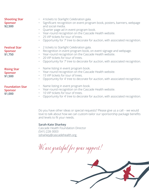| <b>Shooting Star</b><br><b>Sponsor</b><br>\$2,500   | . 4 tickets to Starlight Celebration gala.<br>· Significant recognition on event program book, posters, banners, webpage<br>and social media.<br>• Quarter page ad in event program book.<br>• Year-round recognition on the Cascade Health website.<br>25 VIP tickets for tour of trees.<br>$\bullet$<br>Opportunity for 7' tree to decorate for auction, with associated recognition.<br>$\bullet$ |
|-----------------------------------------------------|------------------------------------------------------------------------------------------------------------------------------------------------------------------------------------------------------------------------------------------------------------------------------------------------------------------------------------------------------------------------------------------------------|
| <b>Festival Star</b><br><b>Sponsor</b><br>\$1,750   | • 2 tickets to Starlight Celebration gala.<br>Recognition in event program book, on event signage and webpage.<br>• Year-round recognition on the Cascade Health website.<br>20 VIP tickets for tour of trees.<br>$\bullet$<br>Opportunity for 7' tree to decorate for auction, with associated recognition.                                                                                         |
| <b>Rising Star</b><br><b>Sponsor</b><br>\$1,500     | Name listing in event program book.<br>$\bullet$<br>Year-round recognition on the Cascade Health website.<br>$\bullet$ .<br>15 VIP tickets for tour of trees.<br>$\bullet$ .<br>Opportunity for 4' tree to decorate for auction, with associated recognition.                                                                                                                                        |
| <b>Foundation Star</b><br><b>Sponsor</b><br>\$1,000 | Name listing in event program book.<br>$\bullet$<br>Year-round recognition on the Cascade Health website.<br>$\bullet$ .<br>10 VIP tickets for tour of trees.<br>$\bullet$<br>Opportunity for 4' tree to decorate for auction, with associated recognition.                                                                                                                                          |

Do you have other ideas or special requests? Please give us a call – we would love to talk about how we can custom-tailor our sponsorship package benefits and levels to fit your needs.

### **Sarah-Kate Sharkey**

Cascade Health Foundation Director (541) 228-3003 ssharkey@cascadehealth.org

We are grateful for your support!